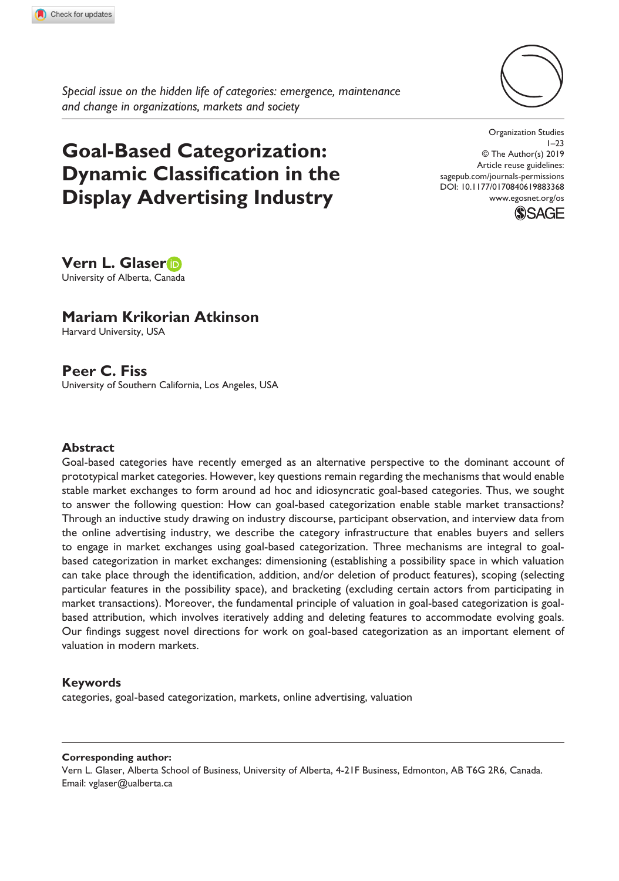

*Special issue on the hidden life of categories: emergence, maintenance and change in organizations, markets and society*

# **Goal-Based Categorization: Dynamic Classification in the Display Advertising Industry**

DOI: 10.1177/0170840619883368 Organization Studies  $1 - 23$ © The Author(s) 2019 Article reuse guidelines: [sagepub.com/journals-permissions](https://uk.sagepub.com/en-gb/journals-permissions) [www.egosnet.org/os](http://www.egosnet.org/os)



**Vern L. Glaser** University of Alberta, Canada

### **Mariam Krikorian Atkinson**

Harvard University, USA

### **Peer C. Fiss**

University of Southern California, Los Angeles, USA

#### **Abstract**

Goal-based categories have recently emerged as an alternative perspective to the dominant account of prototypical market categories. However, key questions remain regarding the mechanisms that would enable stable market exchanges to form around ad hoc and idiosyncratic goal-based categories. Thus, we sought to answer the following question: How can goal-based categorization enable stable market transactions? Through an inductive study drawing on industry discourse, participant observation, and interview data from the online advertising industry, we describe the category infrastructure that enables buyers and sellers to engage in market exchanges using goal-based categorization. Three mechanisms are integral to goalbased categorization in market exchanges: dimensioning (establishing a possibility space in which valuation can take place through the identification, addition, and/or deletion of product features), scoping (selecting particular features in the possibility space), and bracketing (excluding certain actors from participating in market transactions). Moreover, the fundamental principle of valuation in goal-based categorization is goalbased attribution, which involves iteratively adding and deleting features to accommodate evolving goals. Our findings suggest novel directions for work on goal-based categorization as an important element of valuation in modern markets.

#### **Keywords**

categories, goal-based categorization, markets, online advertising, valuation

#### **Corresponding author:**

Vern L. Glaser, Alberta School of Business, University of Alberta, 4-21F Business, Edmonton, AB T6G 2R6, Canada. Email: [vglaser@ualberta.ca](mailto:vglaser@ualberta.ca)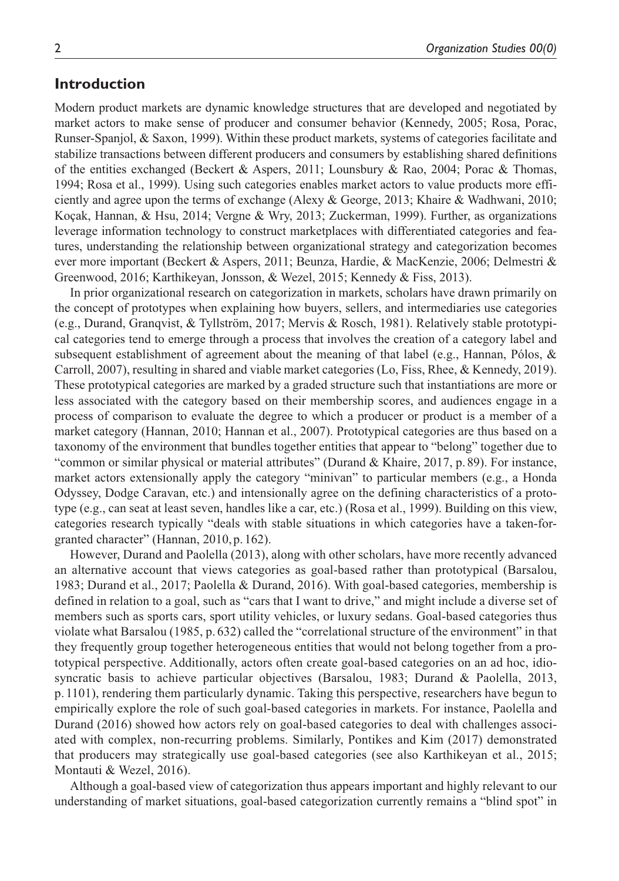### **Introduction**

Modern product markets are dynamic knowledge structures that are developed and negotiated by market actors to make sense of producer and consumer behavior (Kennedy, 2005; Rosa, Porac, Runser-Spanjol, & Saxon, 1999). Within these product markets, systems of categories facilitate and stabilize transactions between different producers and consumers by establishing shared definitions of the entities exchanged (Beckert & Aspers, 2011; Lounsbury & Rao, 2004; Porac & Thomas, 1994; Rosa et al., 1999). Using such categories enables market actors to value products more efficiently and agree upon the terms of exchange (Alexy & George, 2013; Khaire & Wadhwani, 2010; Koçak, Hannan, & Hsu, 2014; Vergne & Wry, 2013; Zuckerman, 1999). Further, as organizations leverage information technology to construct marketplaces with differentiated categories and features, understanding the relationship between organizational strategy and categorization becomes ever more important (Beckert & Aspers, 2011; Beunza, Hardie, & MacKenzie, 2006; Delmestri & Greenwood, 2016; Karthikeyan, Jonsson, & Wezel, 2015; Kennedy & Fiss, 2013).

In prior organizational research on categorization in markets, scholars have drawn primarily on the concept of prototypes when explaining how buyers, sellers, and intermediaries use categories (e.g., Durand, Granqvist, & Tyllström, 2017; Mervis & Rosch, 1981). Relatively stable prototypical categories tend to emerge through a process that involves the creation of a category label and subsequent establishment of agreement about the meaning of that label (e.g., Hannan, Pólos, & Carroll, 2007), resulting in shared and viable market categories (Lo, Fiss, Rhee, & Kennedy, 2019). These prototypical categories are marked by a graded structure such that instantiations are more or less associated with the category based on their membership scores, and audiences engage in a process of comparison to evaluate the degree to which a producer or product is a member of a market category (Hannan, 2010; Hannan et al., 2007). Prototypical categories are thus based on a taxonomy of the environment that bundles together entities that appear to "belong" together due to "common or similar physical or material attributes" (Durand & Khaire, 2017, p.89). For instance, market actors extensionally apply the category "minivan" to particular members (e.g., a Honda Odyssey, Dodge Caravan, etc.) and intensionally agree on the defining characteristics of a prototype (e.g., can seat at least seven, handles like a car, etc.) (Rosa et al., 1999). Building on this view, categories research typically "deals with stable situations in which categories have a taken-forgranted character" (Hannan, 2010,p.162).

However, Durand and Paolella (2013), along with other scholars, have more recently advanced an alternative account that views categories as goal-based rather than prototypical (Barsalou, 1983; Durand et al., 2017; Paolella & Durand, 2016). With goal-based categories, membership is defined in relation to a goal, such as "cars that I want to drive," and might include a diverse set of members such as sports cars, sport utility vehicles, or luxury sedans. Goal-based categories thus violate what Barsalou (1985, p. 632) called the "correlational structure of the environment" in that they frequently group together heterogeneous entities that would not belong together from a prototypical perspective. Additionally, actors often create goal-based categories on an ad hoc, idiosyncratic basis to achieve particular objectives (Barsalou, 1983; Durand & Paolella, 2013, p. 1101), rendering them particularly dynamic. Taking this perspective, researchers have begun to empirically explore the role of such goal-based categories in markets. For instance, Paolella and Durand (2016) showed how actors rely on goal-based categories to deal with challenges associated with complex, non-recurring problems. Similarly, Pontikes and Kim (2017) demonstrated that producers may strategically use goal-based categories (see also Karthikeyan et al., 2015; Montauti & Wezel, 2016).

Although a goal-based view of categorization thus appears important and highly relevant to our understanding of market situations, goal-based categorization currently remains a "blind spot" in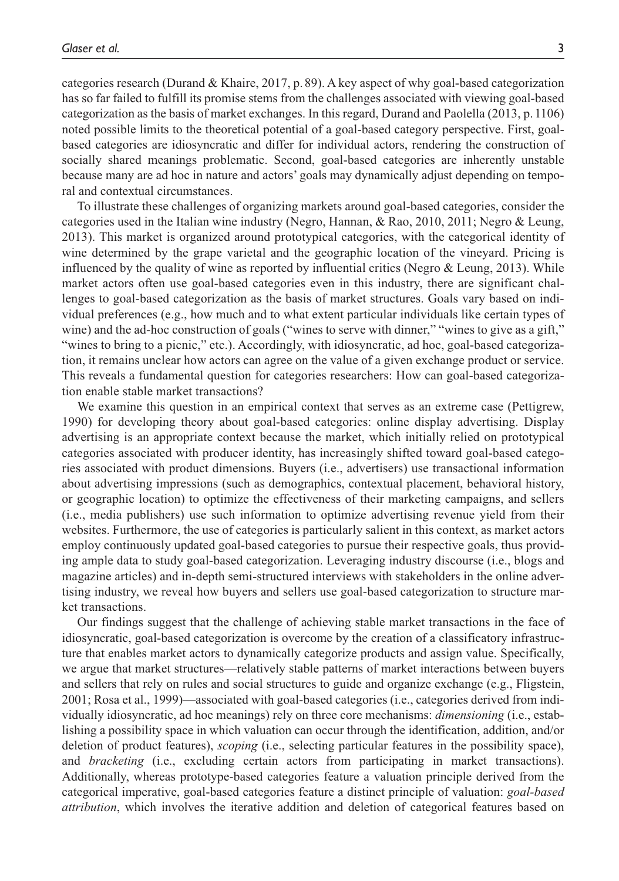categories research (Durand & Khaire, 2017, p. 89). A key aspect of why goal-based categorization has so far failed to fulfill its promise stems from the challenges associated with viewing goal-based categorization as the basis of market exchanges. In this regard, Durand and Paolella (2013, p. 1106) noted possible limits to the theoretical potential of a goal-based category perspective. First, goalbased categories are idiosyncratic and differ for individual actors, rendering the construction of socially shared meanings problematic. Second, goal-based categories are inherently unstable because many are ad hoc in nature and actors' goals may dynamically adjust depending on temporal and contextual circumstances.

To illustrate these challenges of organizing markets around goal-based categories, consider the categories used in the Italian wine industry (Negro, Hannan, & Rao, 2010, 2011; Negro & Leung, 2013). This market is organized around prototypical categories, with the categorical identity of wine determined by the grape varietal and the geographic location of the vineyard. Pricing is influenced by the quality of wine as reported by influential critics (Negro & Leung, 2013). While market actors often use goal-based categories even in this industry, there are significant challenges to goal-based categorization as the basis of market structures. Goals vary based on individual preferences (e.g., how much and to what extent particular individuals like certain types of wine) and the ad-hoc construction of goals ("wines to serve with dinner," "wines to give as a gift," "wines to bring to a picnic," etc.). Accordingly, with idiosyncratic, ad hoc, goal-based categorization, it remains unclear how actors can agree on the value of a given exchange product or service. This reveals a fundamental question for categories researchers: How can goal-based categorization enable stable market transactions?

We examine this question in an empirical context that serves as an extreme case (Pettigrew, 1990) for developing theory about goal-based categories: online display advertising. Display advertising is an appropriate context because the market, which initially relied on prototypical categories associated with producer identity, has increasingly shifted toward goal-based categories associated with product dimensions. Buyers (i.e., advertisers) use transactional information about advertising impressions (such as demographics, contextual placement, behavioral history, or geographic location) to optimize the effectiveness of their marketing campaigns, and sellers (i.e., media publishers) use such information to optimize advertising revenue yield from their websites. Furthermore, the use of categories is particularly salient in this context, as market actors employ continuously updated goal-based categories to pursue their respective goals, thus providing ample data to study goal-based categorization. Leveraging industry discourse (i.e., blogs and magazine articles) and in-depth semi-structured interviews with stakeholders in the online advertising industry, we reveal how buyers and sellers use goal-based categorization to structure market transactions.

Our findings suggest that the challenge of achieving stable market transactions in the face of idiosyncratic, goal-based categorization is overcome by the creation of a classificatory infrastructure that enables market actors to dynamically categorize products and assign value. Specifically, we argue that market structures—relatively stable patterns of market interactions between buyers and sellers that rely on rules and social structures to guide and organize exchange (e.g., Fligstein, 2001; Rosa et al., 1999)—associated with goal-based categories (i.e., categories derived from individually idiosyncratic, ad hoc meanings) rely on three core mechanisms: *dimensioning* (i.e., establishing a possibility space in which valuation can occur through the identification, addition, and/or deletion of product features), *scoping* (i.e., selecting particular features in the possibility space), and *bracketing* (i.e., excluding certain actors from participating in market transactions). Additionally, whereas prototype-based categories feature a valuation principle derived from the categorical imperative, goal-based categories feature a distinct principle of valuation: *goal-based attribution*, which involves the iterative addition and deletion of categorical features based on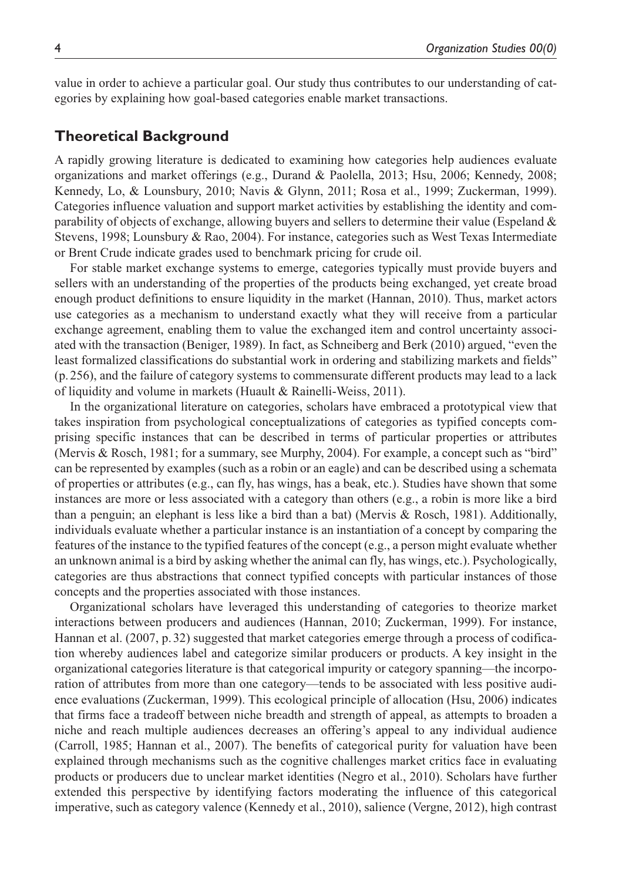value in order to achieve a particular goal. Our study thus contributes to our understanding of categories by explaining how goal-based categories enable market transactions.

### **Theoretical Background**

A rapidly growing literature is dedicated to examining how categories help audiences evaluate organizations and market offerings (e.g., Durand & Paolella, 2013; Hsu, 2006; Kennedy, 2008; Kennedy, Lo, & Lounsbury, 2010; Navis & Glynn, 2011; Rosa et al., 1999; Zuckerman, 1999). Categories influence valuation and support market activities by establishing the identity and comparability of objects of exchange, allowing buyers and sellers to determine their value (Espeland & Stevens, 1998; Lounsbury & Rao, 2004). For instance, categories such as West Texas Intermediate or Brent Crude indicate grades used to benchmark pricing for crude oil.

For stable market exchange systems to emerge, categories typically must provide buyers and sellers with an understanding of the properties of the products being exchanged, yet create broad enough product definitions to ensure liquidity in the market (Hannan, 2010). Thus, market actors use categories as a mechanism to understand exactly what they will receive from a particular exchange agreement, enabling them to value the exchanged item and control uncertainty associated with the transaction (Beniger, 1989). In fact, as Schneiberg and Berk (2010) argued, "even the least formalized classifications do substantial work in ordering and stabilizing markets and fields" (p. 256), and the failure of category systems to commensurate different products may lead to a lack of liquidity and volume in markets (Huault & Rainelli-Weiss, 2011).

In the organizational literature on categories, scholars have embraced a prototypical view that takes inspiration from psychological conceptualizations of categories as typified concepts comprising specific instances that can be described in terms of particular properties or attributes (Mervis & Rosch, 1981; for a summary, see Murphy, 2004). For example, a concept such as "bird" can be represented by examples (such as a robin or an eagle) and can be described using a schemata of properties or attributes (e.g., can fly, has wings, has a beak, etc.). Studies have shown that some instances are more or less associated with a category than others (e.g., a robin is more like a bird than a penguin; an elephant is less like a bird than a bat) (Mervis & Rosch, 1981). Additionally, individuals evaluate whether a particular instance is an instantiation of a concept by comparing the features of the instance to the typified features of the concept (e.g., a person might evaluate whether an unknown animal is a bird by asking whether the animal can fly, has wings, etc.). Psychologically, categories are thus abstractions that connect typified concepts with particular instances of those concepts and the properties associated with those instances.

Organizational scholars have leveraged this understanding of categories to theorize market interactions between producers and audiences (Hannan, 2010; Zuckerman, 1999). For instance, Hannan et al. (2007, p.32) suggested that market categories emerge through a process of codification whereby audiences label and categorize similar producers or products. A key insight in the organizational categories literature is that categorical impurity or category spanning—the incorporation of attributes from more than one category—tends to be associated with less positive audience evaluations (Zuckerman, 1999). This ecological principle of allocation (Hsu, 2006) indicates that firms face a tradeoff between niche breadth and strength of appeal, as attempts to broaden a niche and reach multiple audiences decreases an offering's appeal to any individual audience (Carroll, 1985; Hannan et al., 2007). The benefits of categorical purity for valuation have been explained through mechanisms such as the cognitive challenges market critics face in evaluating products or producers due to unclear market identities (Negro et al., 2010). Scholars have further extended this perspective by identifying factors moderating the influence of this categorical imperative, such as category valence (Kennedy et al., 2010), salience (Vergne, 2012), high contrast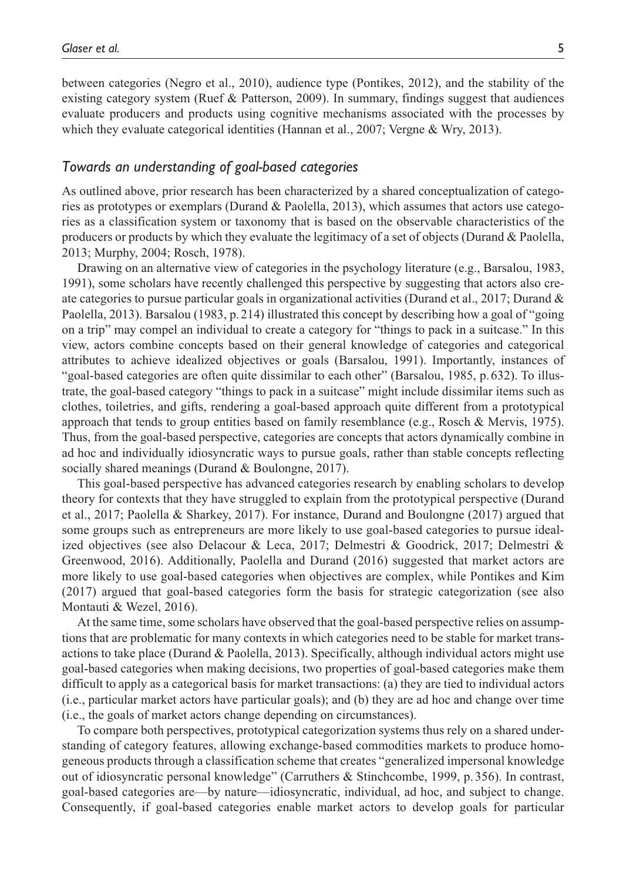between categories (Negro et al., 2010), audience type (Pontikes, 2012), and the stability of the existing category system (Ruef & Patterson, 2009). In summary, findings suggest that audiences evaluate producers and products using cognitive mechanisms associated with the processes by which they evaluate categorical identities (Hannan et al., 2007; Vergne & Wry, 2013).

### *Towards an understanding of goal-based categories*

As outlined above, prior research has been characterized by a shared conceptualization of categories as prototypes or exemplars (Durand & Paolella, 2013), which assumes that actors use categories as a classification system or taxonomy that is based on the observable characteristics of the producers or products by which they evaluate the legitimacy of a set of objects (Durand  $\&$  Paolella, 2013; Murphy, 2004; Rosch, 1978).

Drawing on an alternative view of categories in the psychology literature (e.g., Barsalou, 1983, 1991), some scholars have recently challenged this perspective by suggesting that actors also create categories to pursue particular goals in organizational activities (Durand et al., 2017; Durand  $\&$ Paolella, 2013). Barsalou (1983, p.214) illustrated this concept by describing how a goal of "going on a trip" may compel an individual to create a category for "things to pack in a suitcase." In this view, actors combine concepts based on their general knowledge of categories and categorical attributes to achieve idealized objectives or goals (Barsalou, 1991). Importantly, instances of "goal-based categories are often quite dissimilar to each other" (Barsalou, 1985, p.632). To illustrate, the goal-based category "things to pack in a suitcase" might include dissimilar items such as clothes, toiletries, and gifts, rendering a goal-based approach quite different from a prototypical approach that tends to group entities based on family resemblance (e.g., Rosch & Mervis, 1975). Thus, from the goal-based perspective, categories are concepts that actors dynamically combine in ad hoc and individually idiosyncratic ways to pursue goals, rather than stable concepts reflecting socially shared meanings (Durand & Boulongne, 2017).

This goal-based perspective has advanced categories research by enabling scholars to develop theory for contexts that they have struggled to explain from the prototypical perspective (Durand et al., 2017; Paolella & Sharkey, 2017). For instance, Durand and Boulongne (2017) argued that some groups such as entrepreneurs are more likely to use goal-based categories to pursue idealized objectives (see also Delacour & Leca, 2017; Delmestri & Goodrick, 2017; Delmestri & Greenwood, 2016). Additionally, Paolella and Durand (2016) suggested that market actors are more likely to use goal-based categories when objectives are complex, while Pontikes and Kim (2017) argued that goal-based categories form the basis for strategic categorization (see also Montauti & Wezel, 2016).

At the same time, some scholars have observed that the goal-based perspective relies on assumptions that are problematic for many contexts in which categories need to be stable for market transactions to take place (Durand & Paolella, 2013). Specifically, although individual actors might use goal-based categories when making decisions, two properties of goal-based categories make them difficult to apply as a categorical basis for market transactions: (a) they are tied to individual actors (i.e., particular market actors have particular goals); and (b) they are ad hoc and change over time (i.e., the goals of market actors change depending on circumstances).

To compare both perspectives, prototypical categorization systems thus rely on a shared understanding of category features, allowing exchange-based commodities markets to produce homogeneous products through a classification scheme that creates "generalized impersonal knowledge out of idiosyncratic personal knowledge" (Carruthers & Stinchcombe, 1999, p. 356). In contrast, goal-based categories are—by nature—idiosyncratic, individual, ad hoc, and subject to change. Consequently, if goal-based categories enable market actors to develop goals for particular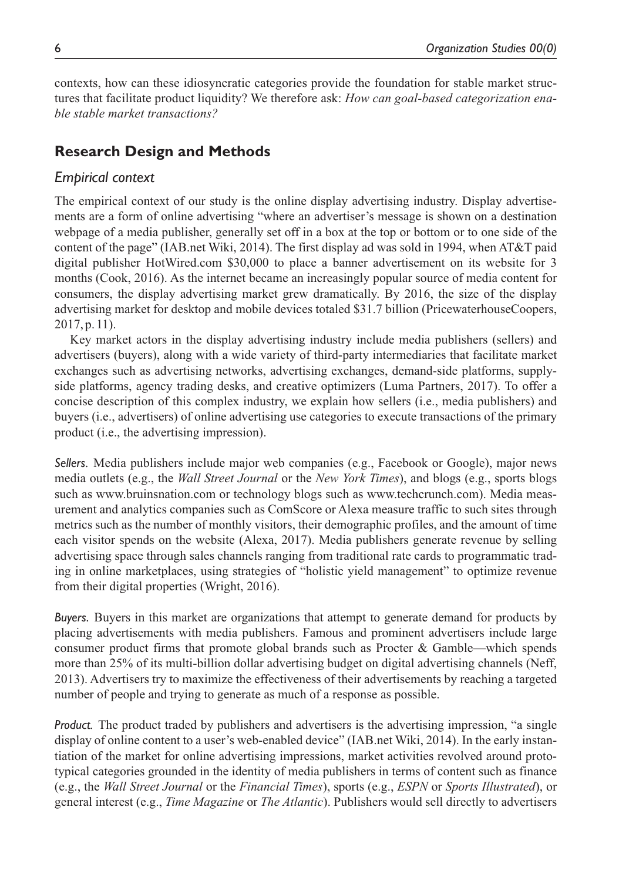contexts, how can these idiosyncratic categories provide the foundation for stable market structures that facilitate product liquidity? We therefore ask: *How can goal-based categorization enable stable market transactions?*

### **Research Design and Methods**

### *Empirical context*

The empirical context of our study is the online display advertising industry. Display advertisements are a form of online advertising "where an advertiser's message is shown on a destination webpage of a media publisher, generally set off in a box at the top or bottom or to one side of the content of the page" (IAB.net Wiki, 2014). The first display ad was sold in 1994, when AT&T paid digital publisher HotWired.com \$30,000 to place a banner advertisement on its website for 3 months (Cook, 2016). As the internet became an increasingly popular source of media content for consumers, the display advertising market grew dramatically. By 2016, the size of the display advertising market for desktop and mobile devices totaled \$31.7 billion (PricewaterhouseCoopers, 2017,p.11).

Key market actors in the display advertising industry include media publishers (sellers) and advertisers (buyers), along with a wide variety of third-party intermediaries that facilitate market exchanges such as advertising networks, advertising exchanges, demand-side platforms, supplyside platforms, agency trading desks, and creative optimizers (Luma Partners, 2017). To offer a concise description of this complex industry, we explain how sellers (i.e., media publishers) and buyers (i.e., advertisers) of online advertising use categories to execute transactions of the primary product (i.e., the advertising impression).

*Sellers.* Media publishers include major web companies (e.g., Facebook or Google), major news media outlets (e.g., the *Wall Street Journal* or the *New York Times*), and blogs (e.g., sports blogs such as <www.bruinsnation.com>or technology blogs such as [www.techcrunch.com\)](www.techcrunch.com). Media measurement and analytics companies such as ComScore or Alexa measure traffic to such sites through metrics such as the number of monthly visitors, their demographic profiles, and the amount of time each visitor spends on the website (Alexa, 2017). Media publishers generate revenue by selling advertising space through sales channels ranging from traditional rate cards to programmatic trading in online marketplaces, using strategies of "holistic yield management" to optimize revenue from their digital properties (Wright, 2016).

*Buyers.* Buyers in this market are organizations that attempt to generate demand for products by placing advertisements with media publishers. Famous and prominent advertisers include large consumer product firms that promote global brands such as Procter & Gamble—which spends more than 25% of its multi-billion dollar advertising budget on digital advertising channels (Neff, 2013). Advertisers try to maximize the effectiveness of their advertisements by reaching a targeted number of people and trying to generate as much of a response as possible.

*Product.* The product traded by publishers and advertisers is the advertising impression, "a single display of online content to a user's web-enabled device" (IAB.net Wiki, 2014). In the early instantiation of the market for online advertising impressions, market activities revolved around prototypical categories grounded in the identity of media publishers in terms of content such as finance (e.g., the *Wall Street Journal* or the *Financial Times*), sports (e.g., *ESPN* or *Sports Illustrated*), or general interest (e.g., *Time Magazine* or *The Atlantic*). Publishers would sell directly to advertisers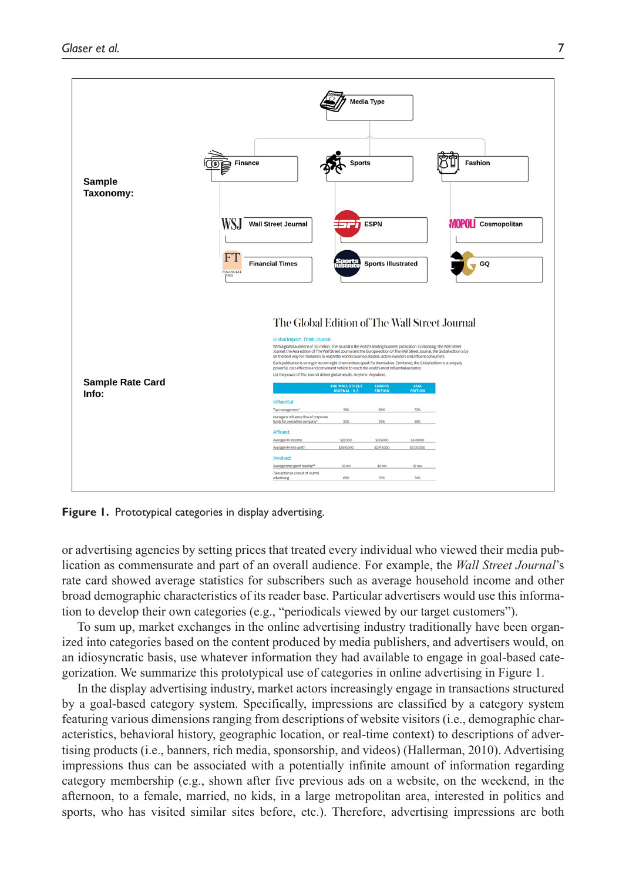

**Figure 1.** Prototypical categories in display advertising.

or advertising agencies by setting prices that treated every individual who viewed their media publication as commensurate and part of an overall audience. For example, the *Wall Street Journal*'s rate card showed average statistics for subscribers such as average household income and other broad demographic characteristics of its reader base. Particular advertisers would use this information to develop their own categories (e.g., "periodicals viewed by our target customers").

To sum up, market exchanges in the online advertising industry traditionally have been organized into categories based on the content produced by media publishers, and advertisers would, on an idiosyncratic basis, use whatever information they had available to engage in goal-based categorization. We summarize this prototypical use of categories in online advertising in Figure 1.

In the display advertising industry, market actors increasingly engage in transactions structured by a goal-based category system. Specifically, impressions are classified by a category system featuring various dimensions ranging from descriptions of website visitors (i.e., demographic characteristics, behavioral history, geographic location, or real-time context) to descriptions of advertising products (i.e., banners, rich media, sponsorship, and videos) (Hallerman, 2010). Advertising impressions thus can be associated with a potentially infinite amount of information regarding category membership (e.g., shown after five previous ads on a website, on the weekend, in the afternoon, to a female, married, no kids, in a large metropolitan area, interested in politics and sports, who has visited similar sites before, etc.). Therefore, advertising impressions are both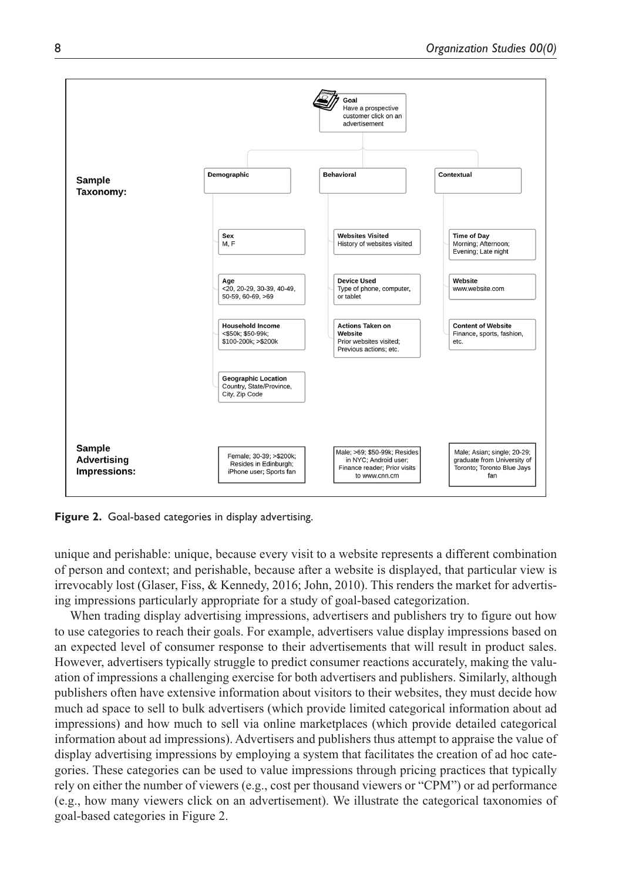

**Figure 2.** Goal-based categories in display advertising.

unique and perishable: unique, because every visit to a website represents a different combination of person and context; and perishable, because after a website is displayed, that particular view is irrevocably lost (Glaser, Fiss, & Kennedy, 2016; John, 2010). This renders the market for advertising impressions particularly appropriate for a study of goal-based categorization.

When trading display advertising impressions, advertisers and publishers try to figure out how to use categories to reach their goals. For example, advertisers value display impressions based on an expected level of consumer response to their advertisements that will result in product sales. However, advertisers typically struggle to predict consumer reactions accurately, making the valuation of impressions a challenging exercise for both advertisers and publishers. Similarly, although publishers often have extensive information about visitors to their websites, they must decide how much ad space to sell to bulk advertisers (which provide limited categorical information about ad impressions) and how much to sell via online marketplaces (which provide detailed categorical information about ad impressions). Advertisers and publishers thus attempt to appraise the value of display advertising impressions by employing a system that facilitates the creation of ad hoc categories. These categories can be used to value impressions through pricing practices that typically rely on either the number of viewers (e.g., cost per thousand viewers or "CPM") or ad performance (e.g., how many viewers click on an advertisement). We illustrate the categorical taxonomies of goal-based categories in Figure 2.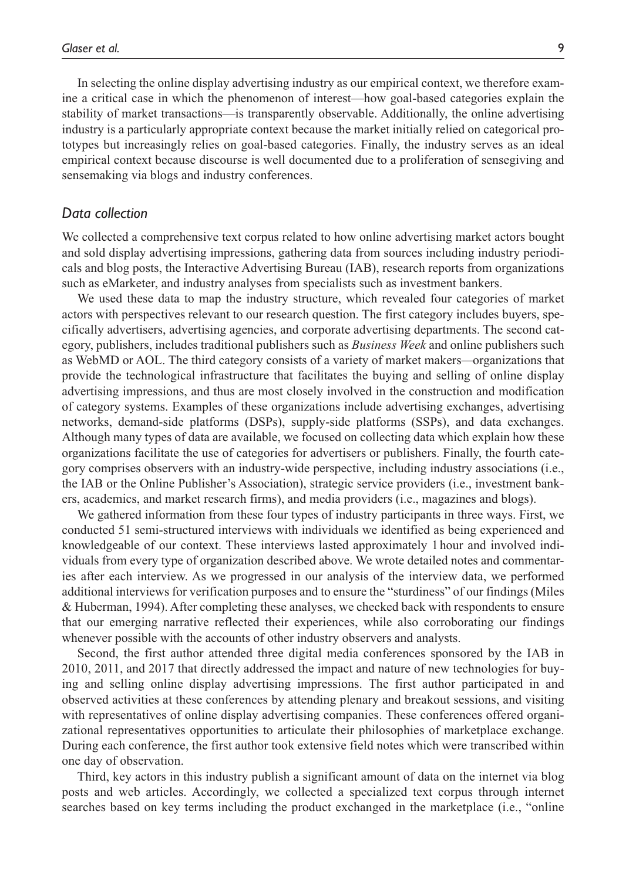In selecting the online display advertising industry as our empirical context, we therefore examine a critical case in which the phenomenon of interest—how goal-based categories explain the stability of market transactions—is transparently observable. Additionally, the online advertising industry is a particularly appropriate context because the market initially relied on categorical prototypes but increasingly relies on goal-based categories. Finally, the industry serves as an ideal empirical context because discourse is well documented due to a proliferation of sensegiving and sensemaking via blogs and industry conferences.

#### *Data collection*

We collected a comprehensive text corpus related to how online advertising market actors bought and sold display advertising impressions, gathering data from sources including industry periodicals and blog posts, the Interactive Advertising Bureau (IAB), research reports from organizations such as eMarketer, and industry analyses from specialists such as investment bankers.

We used these data to map the industry structure, which revealed four categories of market actors with perspectives relevant to our research question. The first category includes buyers, specifically advertisers, advertising agencies, and corporate advertising departments. The second category, publishers, includes traditional publishers such as *Business Week* and online publishers such as WebMD or AOL. The third category consists of a variety of market makers*—*organizations that provide the technological infrastructure that facilitates the buying and selling of online display advertising impressions, and thus are most closely involved in the construction and modification of category systems. Examples of these organizations include advertising exchanges, advertising networks, demand-side platforms (DSPs), supply-side platforms (SSPs), and data exchanges. Although many types of data are available, we focused on collecting data which explain how these organizations facilitate the use of categories for advertisers or publishers. Finally, the fourth category comprises observers with an industry-wide perspective, including industry associations (i.e., the IAB or the Online Publisher's Association), strategic service providers (i.e., investment bankers, academics, and market research firms), and media providers (i.e., magazines and blogs).

We gathered information from these four types of industry participants in three ways. First, we conducted 51 semi-structured interviews with individuals we identified as being experienced and knowledgeable of our context. These interviews lasted approximately 1 hour and involved individuals from every type of organization described above. We wrote detailed notes and commentaries after each interview. As we progressed in our analysis of the interview data, we performed additional interviews for verification purposes and to ensure the "sturdiness" of our findings (Miles & Huberman, 1994). After completing these analyses, we checked back with respondents to ensure that our emerging narrative reflected their experiences, while also corroborating our findings whenever possible with the accounts of other industry observers and analysts.

Second, the first author attended three digital media conferences sponsored by the IAB in 2010, 2011, and 2017 that directly addressed the impact and nature of new technologies for buying and selling online display advertising impressions. The first author participated in and observed activities at these conferences by attending plenary and breakout sessions, and visiting with representatives of online display advertising companies. These conferences offered organizational representatives opportunities to articulate their philosophies of marketplace exchange. During each conference, the first author took extensive field notes which were transcribed within one day of observation.

Third, key actors in this industry publish a significant amount of data on the internet via blog posts and web articles. Accordingly, we collected a specialized text corpus through internet searches based on key terms including the product exchanged in the marketplace (i.e., "online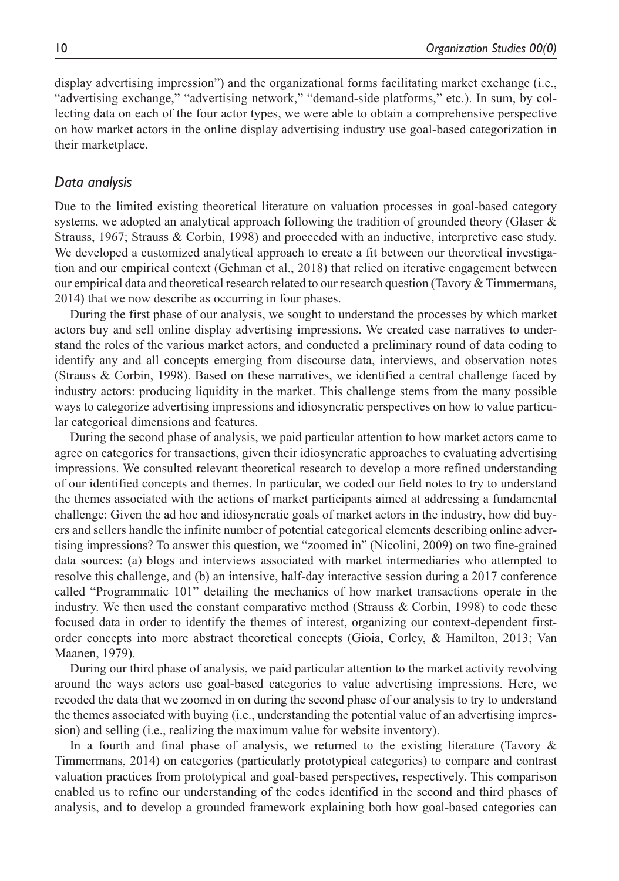display advertising impression") and the organizational forms facilitating market exchange (i.e., "advertising exchange," "advertising network," "demand-side platforms," etc.). In sum, by collecting data on each of the four actor types, we were able to obtain a comprehensive perspective on how market actors in the online display advertising industry use goal-based categorization in their marketplace.

### *Data analysis*

Due to the limited existing theoretical literature on valuation processes in goal-based category systems, we adopted an analytical approach following the tradition of grounded theory (Glaser & Strauss, 1967; Strauss & Corbin, 1998) and proceeded with an inductive, interpretive case study. We developed a customized analytical approach to create a fit between our theoretical investigation and our empirical context (Gehman et al., 2018) that relied on iterative engagement between our empirical data and theoretical research related to our research question (Tavory & Timmermans, 2014) that we now describe as occurring in four phases.

During the first phase of our analysis, we sought to understand the processes by which market actors buy and sell online display advertising impressions. We created case narratives to understand the roles of the various market actors, and conducted a preliminary round of data coding to identify any and all concepts emerging from discourse data, interviews, and observation notes (Strauss & Corbin, 1998). Based on these narratives, we identified a central challenge faced by industry actors: producing liquidity in the market. This challenge stems from the many possible ways to categorize advertising impressions and idiosyncratic perspectives on how to value particular categorical dimensions and features.

During the second phase of analysis, we paid particular attention to how market actors came to agree on categories for transactions, given their idiosyncratic approaches to evaluating advertising impressions. We consulted relevant theoretical research to develop a more refined understanding of our identified concepts and themes. In particular, we coded our field notes to try to understand the themes associated with the actions of market participants aimed at addressing a fundamental challenge: Given the ad hoc and idiosyncratic goals of market actors in the industry, how did buyers and sellers handle the infinite number of potential categorical elements describing online advertising impressions? To answer this question, we "zoomed in" (Nicolini, 2009) on two fine-grained data sources: (a) blogs and interviews associated with market intermediaries who attempted to resolve this challenge, and (b) an intensive, half-day interactive session during a 2017 conference called "Programmatic 101" detailing the mechanics of how market transactions operate in the industry. We then used the constant comparative method (Strauss & Corbin, 1998) to code these focused data in order to identify the themes of interest, organizing our context-dependent firstorder concepts into more abstract theoretical concepts (Gioia, Corley, & Hamilton, 2013; Van Maanen, 1979).

During our third phase of analysis, we paid particular attention to the market activity revolving around the ways actors use goal-based categories to value advertising impressions. Here, we recoded the data that we zoomed in on during the second phase of our analysis to try to understand the themes associated with buying (i.e., understanding the potential value of an advertising impression) and selling (i.e., realizing the maximum value for website inventory).

In a fourth and final phase of analysis, we returned to the existing literature (Tavory & Timmermans, 2014) on categories (particularly prototypical categories) to compare and contrast valuation practices from prototypical and goal-based perspectives, respectively. This comparison enabled us to refine our understanding of the codes identified in the second and third phases of analysis, and to develop a grounded framework explaining both how goal-based categories can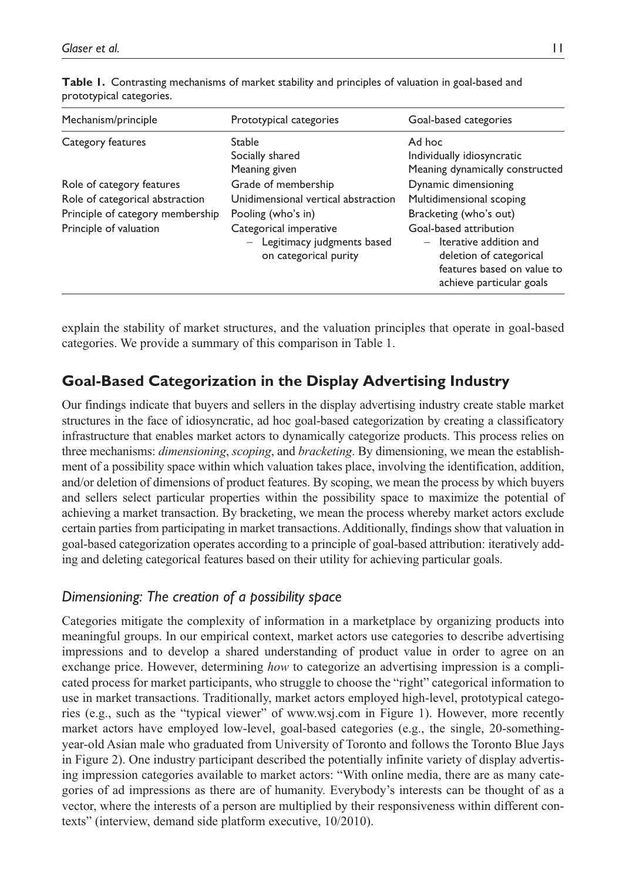| Mechanism/principle                                                                                                        | Prototypical categories                                                                                                                                           | Goal-based categories                                                                                                                                                                                                   |
|----------------------------------------------------------------------------------------------------------------------------|-------------------------------------------------------------------------------------------------------------------------------------------------------------------|-------------------------------------------------------------------------------------------------------------------------------------------------------------------------------------------------------------------------|
| Category features                                                                                                          | Stable<br>Socially shared<br>Meaning given                                                                                                                        | Ad hoc<br>Individually idiosyncratic<br>Meaning dynamically constructed                                                                                                                                                 |
| Role of category features<br>Role of categorical abstraction<br>Principle of category membership<br>Principle of valuation | Grade of membership<br>Unidimensional vertical abstraction<br>Pooling (who's in)<br>Categorical imperative<br>Legitimacy judgments based<br>on categorical purity | Dynamic dimensioning<br>Multidimensional scoping<br>Bracketing (who's out)<br>Goal-based attribution<br>$-$ Iterative addition and<br>deletion of categorical<br>features based on value to<br>achieve particular goals |

**Table 1.** Contrasting mechanisms of market stability and principles of valuation in goal-based and prototypical categories.

explain the stability of market structures, and the valuation principles that operate in goal-based categories. We provide a summary of this comparison in Table 1.

# **Goal-Based Categorization in the Display Advertising Industry**

Our findings indicate that buyers and sellers in the display advertising industry create stable market structures in the face of idiosyncratic, ad hoc goal-based categorization by creating a classificatory infrastructure that enables market actors to dynamically categorize products. This process relies on three mechanisms: *dimensioning*, *scoping*, and *bracketing*. By dimensioning, we mean the establishment of a possibility space within which valuation takes place, involving the identification, addition, and/or deletion of dimensions of product features. By scoping, we mean the process by which buyers and sellers select particular properties within the possibility space to maximize the potential of achieving a market transaction. By bracketing, we mean the process whereby market actors exclude certain parties from participating in market transactions. Additionally, findings show that valuation in goal-based categorization operates according to a principle of goal-based attribution: iteratively adding and deleting categorical features based on their utility for achieving particular goals.

## *Dimensioning: The creation of a possibility space*

Categories mitigate the complexity of information in a marketplace by organizing products into meaningful groups. In our empirical context, market actors use categories to describe advertising impressions and to develop a shared understanding of product value in order to agree on an exchange price. However, determining *how* to categorize an advertising impression is a complicated process for market participants, who struggle to choose the "right" categorical information to use in market transactions. Traditionally, market actors employed high-level, prototypical categories (e.g., such as the "typical viewer" of <www.wsj.com>in Figure 1). However, more recently market actors have employed low-level, goal-based categories (e.g., the single, 20-somethingyear-old Asian male who graduated from University of Toronto and follows the Toronto Blue Jays in Figure 2). One industry participant described the potentially infinite variety of display advertising impression categories available to market actors: "With online media, there are as many categories of ad impressions as there are of humanity. Everybody's interests can be thought of as a vector, where the interests of a person are multiplied by their responsiveness within different contexts" (interview, demand side platform executive, 10/2010).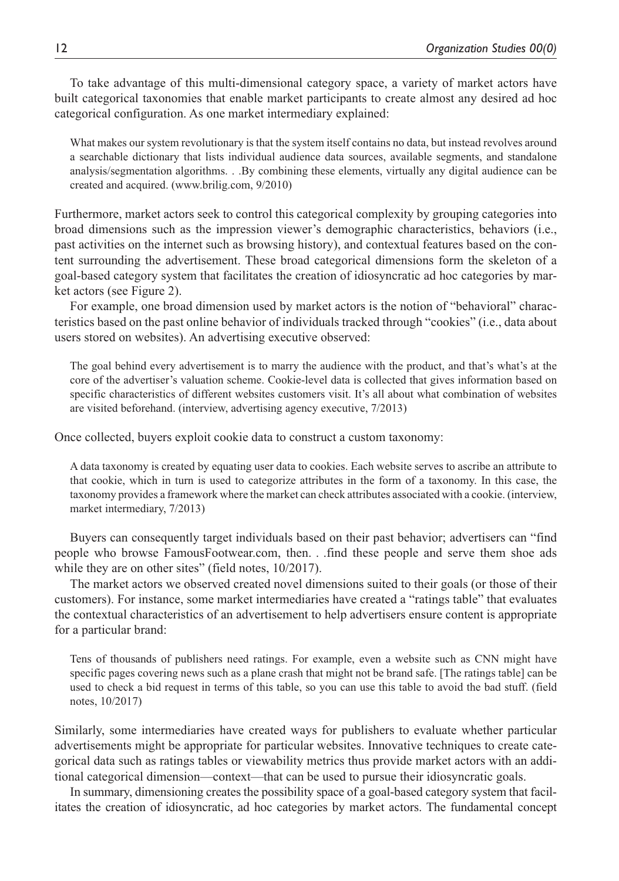To take advantage of this multi-dimensional category space, a variety of market actors have built categorical taxonomies that enable market participants to create almost any desired ad hoc categorical configuration. As one market intermediary explained:

What makes our system revolutionary is that the system itself contains no data, but instead revolves around a searchable dictionary that lists individual audience data sources, available segments, and standalone analysis/segmentation algorithms. . .By combining these elements, virtually any digital audience can be created and acquired. [\(www.brilig.com,](www.brilig.com) 9/2010)

Furthermore, market actors seek to control this categorical complexity by grouping categories into broad dimensions such as the impression viewer's demographic characteristics, behaviors (i.e., past activities on the internet such as browsing history), and contextual features based on the content surrounding the advertisement. These broad categorical dimensions form the skeleton of a goal-based category system that facilitates the creation of idiosyncratic ad hoc categories by market actors (see Figure 2).

For example, one broad dimension used by market actors is the notion of "behavioral" characteristics based on the past online behavior of individuals tracked through "cookies" (i.e., data about users stored on websites). An advertising executive observed:

The goal behind every advertisement is to marry the audience with the product, and that's what's at the core of the advertiser's valuation scheme. Cookie-level data is collected that gives information based on specific characteristics of different websites customers visit. It's all about what combination of websites are visited beforehand. (interview, advertising agency executive, 7/2013)

Once collected, buyers exploit cookie data to construct a custom taxonomy:

A data taxonomy is created by equating user data to cookies. Each website serves to ascribe an attribute to that cookie, which in turn is used to categorize attributes in the form of a taxonomy. In this case, the taxonomy provides a framework where the market can check attributes associated with a cookie. (interview, market intermediary, 7/2013)

Buyers can consequently target individuals based on their past behavior; advertisers can "find people who browse FamousFootwear.com, then. . .find these people and serve them shoe ads while they are on other sites" (field notes,  $10/2017$ ).

The market actors we observed created novel dimensions suited to their goals (or those of their customers). For instance, some market intermediaries have created a "ratings table" that evaluates the contextual characteristics of an advertisement to help advertisers ensure content is appropriate for a particular brand:

Tens of thousands of publishers need ratings. For example, even a website such as CNN might have specific pages covering news such as a plane crash that might not be brand safe. [The ratings table] can be used to check a bid request in terms of this table, so you can use this table to avoid the bad stuff. (field notes, 10/2017)

Similarly, some intermediaries have created ways for publishers to evaluate whether particular advertisements might be appropriate for particular websites. Innovative techniques to create categorical data such as ratings tables or viewability metrics thus provide market actors with an additional categorical dimension—context—that can be used to pursue their idiosyncratic goals.

In summary, dimensioning creates the possibility space of a goal-based category system that facilitates the creation of idiosyncratic, ad hoc categories by market actors. The fundamental concept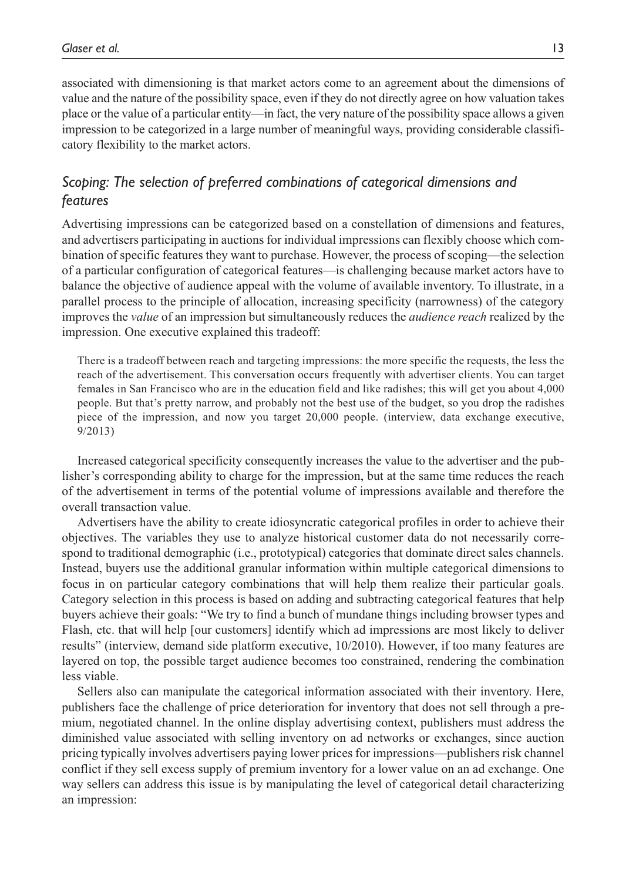associated with dimensioning is that market actors come to an agreement about the dimensions of value and the nature of the possibility space, even if they do not directly agree on how valuation takes place or the value of a particular entity—in fact, the very nature of the possibility space allows a given impression to be categorized in a large number of meaningful ways, providing considerable classificatory flexibility to the market actors.

### *Scoping: The selection of preferred combinations of categorical dimensions and features*

Advertising impressions can be categorized based on a constellation of dimensions and features, and advertisers participating in auctions for individual impressions can flexibly choose which combination of specific features they want to purchase. However, the process of scoping—the selection of a particular configuration of categorical features—is challenging because market actors have to balance the objective of audience appeal with the volume of available inventory. To illustrate, in a parallel process to the principle of allocation, increasing specificity (narrowness) of the category improves the *value* of an impression but simultaneously reduces the *audience reach* realized by the impression. One executive explained this tradeoff:

There is a tradeoff between reach and targeting impressions: the more specific the requests, the less the reach of the advertisement. This conversation occurs frequently with advertiser clients. You can target females in San Francisco who are in the education field and like radishes; this will get you about 4,000 people. But that's pretty narrow, and probably not the best use of the budget, so you drop the radishes piece of the impression, and now you target 20,000 people. (interview, data exchange executive, 9/2013)

Increased categorical specificity consequently increases the value to the advertiser and the publisher's corresponding ability to charge for the impression, but at the same time reduces the reach of the advertisement in terms of the potential volume of impressions available and therefore the overall transaction value.

Advertisers have the ability to create idiosyncratic categorical profiles in order to achieve their objectives. The variables they use to analyze historical customer data do not necessarily correspond to traditional demographic (i.e., prototypical) categories that dominate direct sales channels. Instead, buyers use the additional granular information within multiple categorical dimensions to focus in on particular category combinations that will help them realize their particular goals. Category selection in this process is based on adding and subtracting categorical features that help buyers achieve their goals: "We try to find a bunch of mundane things including browser types and Flash, etc. that will help [our customers] identify which ad impressions are most likely to deliver results" (interview, demand side platform executive, 10/2010). However, if too many features are layered on top, the possible target audience becomes too constrained, rendering the combination less viable.

Sellers also can manipulate the categorical information associated with their inventory. Here, publishers face the challenge of price deterioration for inventory that does not sell through a premium, negotiated channel. In the online display advertising context, publishers must address the diminished value associated with selling inventory on ad networks or exchanges, since auction pricing typically involves advertisers paying lower prices for impressions—publishers risk channel conflict if they sell excess supply of premium inventory for a lower value on an ad exchange. One way sellers can address this issue is by manipulating the level of categorical detail characterizing an impression: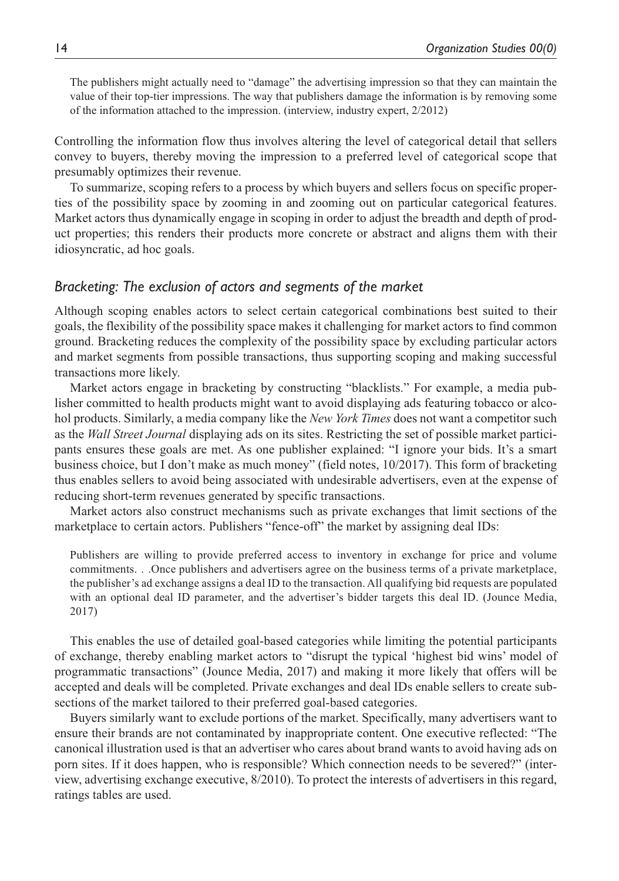The publishers might actually need to "damage" the advertising impression so that they can maintain the value of their top-tier impressions. The way that publishers damage the information is by removing some of the information attached to the impression. (interview, industry expert, 2/2012)

Controlling the information flow thus involves altering the level of categorical detail that sellers convey to buyers, thereby moving the impression to a preferred level of categorical scope that presumably optimizes their revenue.

To summarize, scoping refers to a process by which buyers and sellers focus on specific properties of the possibility space by zooming in and zooming out on particular categorical features. Market actors thus dynamically engage in scoping in order to adjust the breadth and depth of product properties; this renders their products more concrete or abstract and aligns them with their idiosyncratic, ad hoc goals.

### *Bracketing: The exclusion of actors and segments of the market*

Although scoping enables actors to select certain categorical combinations best suited to their goals, the flexibility of the possibility space makes it challenging for market actors to find common ground. Bracketing reduces the complexity of the possibility space by excluding particular actors and market segments from possible transactions, thus supporting scoping and making successful transactions more likely.

Market actors engage in bracketing by constructing "blacklists." For example, a media publisher committed to health products might want to avoid displaying ads featuring tobacco or alcohol products. Similarly, a media company like the *New York Times* does not want a competitor such as the *Wall Street Journal* displaying ads on its sites. Restricting the set of possible market participants ensures these goals are met. As one publisher explained: "I ignore your bids. It's a smart business choice, but I don't make as much money" (field notes, 10/2017). This form of bracketing thus enables sellers to avoid being associated with undesirable advertisers, even at the expense of reducing short-term revenues generated by specific transactions.

Market actors also construct mechanisms such as private exchanges that limit sections of the marketplace to certain actors. Publishers "fence-off" the market by assigning deal IDs:

Publishers are willing to provide preferred access to inventory in exchange for price and volume commitments. . .Once publishers and advertisers agree on the business terms of a private marketplace, the publisher's ad exchange assigns a deal ID to the transaction. All qualifying bid requests are populated with an optional deal ID parameter, and the advertiser's bidder targets this deal ID. (Jounce Media, 2017)

This enables the use of detailed goal-based categories while limiting the potential participants of exchange, thereby enabling market actors to "disrupt the typical 'highest bid wins' model of programmatic transactions" (Jounce Media, 2017) and making it more likely that offers will be accepted and deals will be completed. Private exchanges and deal IDs enable sellers to create subsections of the market tailored to their preferred goal-based categories.

Buyers similarly want to exclude portions of the market. Specifically, many advertisers want to ensure their brands are not contaminated by inappropriate content. One executive reflected: "The canonical illustration used is that an advertiser who cares about brand wants to avoid having ads on porn sites. If it does happen, who is responsible? Which connection needs to be severed?" (interview, advertising exchange executive, 8/2010). To protect the interests of advertisers in this regard, ratings tables are used.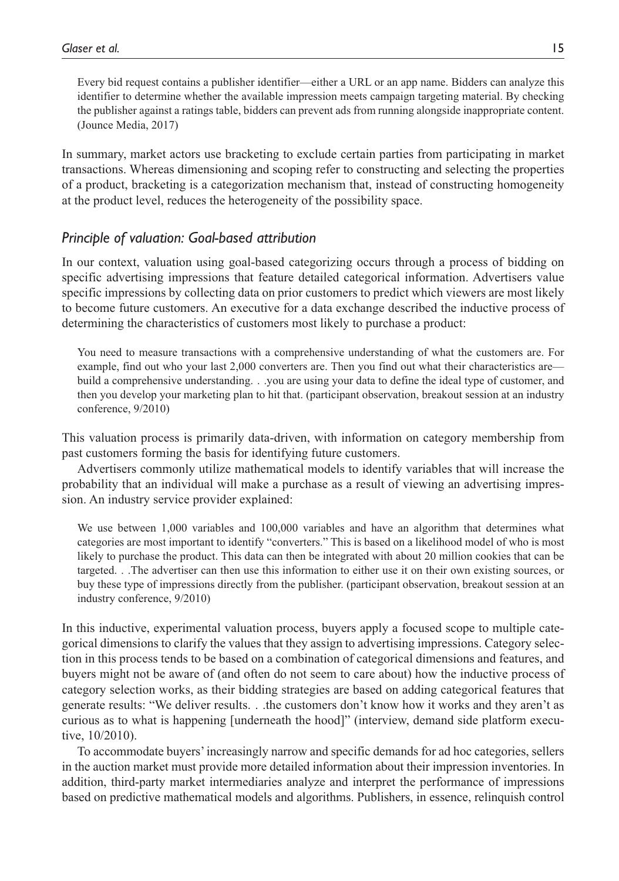Every bid request contains a publisher identifier—either a URL or an app name. Bidders can analyze this identifier to determine whether the available impression meets campaign targeting material. By checking the publisher against a ratings table, bidders can prevent ads from running alongside inappropriate content. (Jounce Media, 2017)

In summary, market actors use bracketing to exclude certain parties from participating in market transactions. Whereas dimensioning and scoping refer to constructing and selecting the properties of a product, bracketing is a categorization mechanism that, instead of constructing homogeneity at the product level, reduces the heterogeneity of the possibility space.

### *Principle of valuation: Goal-based attribution*

In our context, valuation using goal-based categorizing occurs through a process of bidding on specific advertising impressions that feature detailed categorical information. Advertisers value specific impressions by collecting data on prior customers to predict which viewers are most likely to become future customers. An executive for a data exchange described the inductive process of determining the characteristics of customers most likely to purchase a product:

You need to measure transactions with a comprehensive understanding of what the customers are. For example, find out who your last 2,000 converters are. Then you find out what their characteristics are build a comprehensive understanding. . .you are using your data to define the ideal type of customer, and then you develop your marketing plan to hit that. (participant observation, breakout session at an industry conference, 9/2010)

This valuation process is primarily data-driven, with information on category membership from past customers forming the basis for identifying future customers.

Advertisers commonly utilize mathematical models to identify variables that will increase the probability that an individual will make a purchase as a result of viewing an advertising impression. An industry service provider explained:

We use between 1,000 variables and 100,000 variables and have an algorithm that determines what categories are most important to identify "converters." This is based on a likelihood model of who is most likely to purchase the product. This data can then be integrated with about 20 million cookies that can be targeted. . .The advertiser can then use this information to either use it on their own existing sources, or buy these type of impressions directly from the publisher. (participant observation, breakout session at an industry conference, 9/2010)

In this inductive, experimental valuation process, buyers apply a focused scope to multiple categorical dimensions to clarify the values that they assign to advertising impressions. Category selection in this process tends to be based on a combination of categorical dimensions and features, and buyers might not be aware of (and often do not seem to care about) how the inductive process of category selection works, as their bidding strategies are based on adding categorical features that generate results: "We deliver results. . .the customers don't know how it works and they aren't as curious as to what is happening [underneath the hood]" (interview, demand side platform executive, 10/2010).

To accommodate buyers' increasingly narrow and specific demands for ad hoc categories, sellers in the auction market must provide more detailed information about their impression inventories. In addition, third-party market intermediaries analyze and interpret the performance of impressions based on predictive mathematical models and algorithms. Publishers, in essence, relinquish control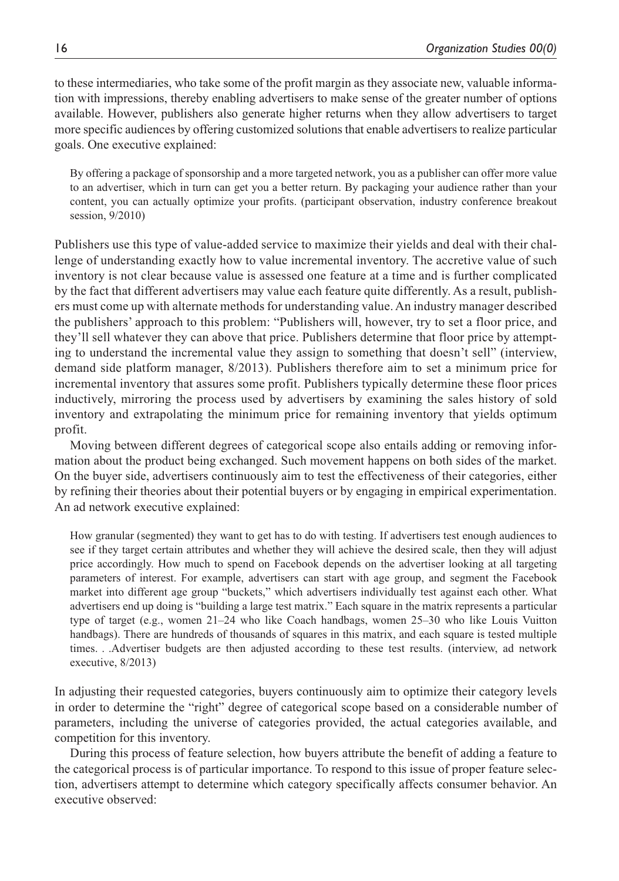to these intermediaries, who take some of the profit margin as they associate new, valuable information with impressions, thereby enabling advertisers to make sense of the greater number of options available. However, publishers also generate higher returns when they allow advertisers to target more specific audiences by offering customized solutions that enable advertisers to realize particular goals. One executive explained:

By offering a package of sponsorship and a more targeted network, you as a publisher can offer more value to an advertiser, which in turn can get you a better return. By packaging your audience rather than your content, you can actually optimize your profits. (participant observation, industry conference breakout session, 9/2010)

Publishers use this type of value-added service to maximize their yields and deal with their challenge of understanding exactly how to value incremental inventory. The accretive value of such inventory is not clear because value is assessed one feature at a time and is further complicated by the fact that different advertisers may value each feature quite differently. As a result, publishers must come up with alternate methods for understanding value. An industry manager described the publishers' approach to this problem: "Publishers will, however, try to set a floor price, and they'll sell whatever they can above that price. Publishers determine that floor price by attempting to understand the incremental value they assign to something that doesn't sell" (interview, demand side platform manager, 8/2013). Publishers therefore aim to set a minimum price for incremental inventory that assures some profit. Publishers typically determine these floor prices inductively, mirroring the process used by advertisers by examining the sales history of sold inventory and extrapolating the minimum price for remaining inventory that yields optimum profit.

Moving between different degrees of categorical scope also entails adding or removing information about the product being exchanged. Such movement happens on both sides of the market. On the buyer side, advertisers continuously aim to test the effectiveness of their categories, either by refining their theories about their potential buyers or by engaging in empirical experimentation. An ad network executive explained:

How granular (segmented) they want to get has to do with testing. If advertisers test enough audiences to see if they target certain attributes and whether they will achieve the desired scale, then they will adjust price accordingly. How much to spend on Facebook depends on the advertiser looking at all targeting parameters of interest. For example, advertisers can start with age group, and segment the Facebook market into different age group "buckets," which advertisers individually test against each other. What advertisers end up doing is "building a large test matrix." Each square in the matrix represents a particular type of target (e.g., women 21–24 who like Coach handbags, women 25–30 who like Louis Vuitton handbags). There are hundreds of thousands of squares in this matrix, and each square is tested multiple times. . .Advertiser budgets are then adjusted according to these test results. (interview, ad network executive, 8/2013)

In adjusting their requested categories, buyers continuously aim to optimize their category levels in order to determine the "right" degree of categorical scope based on a considerable number of parameters, including the universe of categories provided, the actual categories available, and competition for this inventory.

During this process of feature selection, how buyers attribute the benefit of adding a feature to the categorical process is of particular importance. To respond to this issue of proper feature selection, advertisers attempt to determine which category specifically affects consumer behavior. An executive observed: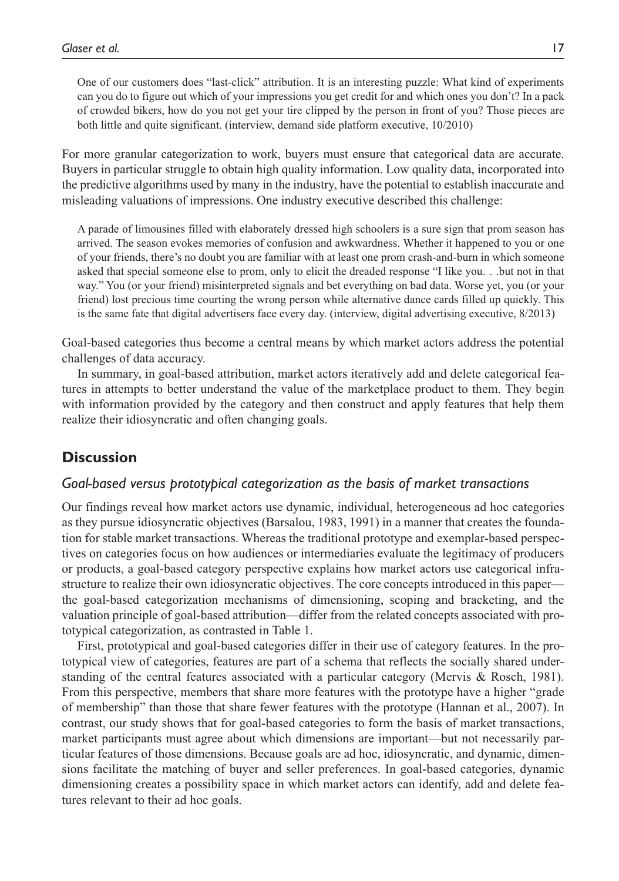One of our customers does "last-click" attribution. It is an interesting puzzle: What kind of experiments can you do to figure out which of your impressions you get credit for and which ones you don't? In a pack of crowded bikers, how do you not get your tire clipped by the person in front of you? Those pieces are both little and quite significant. (interview, demand side platform executive, 10/2010)

For more granular categorization to work, buyers must ensure that categorical data are accurate. Buyers in particular struggle to obtain high quality information. Low quality data, incorporated into the predictive algorithms used by many in the industry, have the potential to establish inaccurate and misleading valuations of impressions. One industry executive described this challenge:

A parade of limousines filled with elaborately dressed high schoolers is a sure sign that prom season has arrived. The season evokes memories of confusion and awkwardness. Whether it happened to you or one of your friends, there's no doubt you are familiar with at least one prom crash-and-burn in which someone asked that special someone else to prom, only to elicit the dreaded response "I like you. . .but not in that way." You (or your friend) misinterpreted signals and bet everything on bad data. Worse yet, you (or your friend) lost precious time courting the wrong person while alternative dance cards filled up quickly. This is the same fate that digital advertisers face every day. (interview, digital advertising executive, 8/2013)

Goal-based categories thus become a central means by which market actors address the potential challenges of data accuracy.

In summary, in goal-based attribution, market actors iteratively add and delete categorical features in attempts to better understand the value of the marketplace product to them. They begin with information provided by the category and then construct and apply features that help them realize their idiosyncratic and often changing goals.

### **Discussion**

### *Goal-based versus prototypical categorization as the basis of market transactions*

Our findings reveal how market actors use dynamic, individual, heterogeneous ad hoc categories as they pursue idiosyncratic objectives (Barsalou, 1983, 1991) in a manner that creates the foundation for stable market transactions. Whereas the traditional prototype and exemplar-based perspectives on categories focus on how audiences or intermediaries evaluate the legitimacy of producers or products, a goal-based category perspective explains how market actors use categorical infrastructure to realize their own idiosyncratic objectives. The core concepts introduced in this paper the goal-based categorization mechanisms of dimensioning, scoping and bracketing, and the valuation principle of goal-based attribution—differ from the related concepts associated with prototypical categorization, as contrasted in Table 1.

First, prototypical and goal-based categories differ in their use of category features. In the prototypical view of categories, features are part of a schema that reflects the socially shared understanding of the central features associated with a particular category (Mervis & Rosch, 1981). From this perspective, members that share more features with the prototype have a higher "grade of membership" than those that share fewer features with the prototype (Hannan et al., 2007). In contrast, our study shows that for goal-based categories to form the basis of market transactions, market participants must agree about which dimensions are important—but not necessarily particular features of those dimensions. Because goals are ad hoc, idiosyncratic, and dynamic, dimensions facilitate the matching of buyer and seller preferences. In goal-based categories, dynamic dimensioning creates a possibility space in which market actors can identify, add and delete features relevant to their ad hoc goals.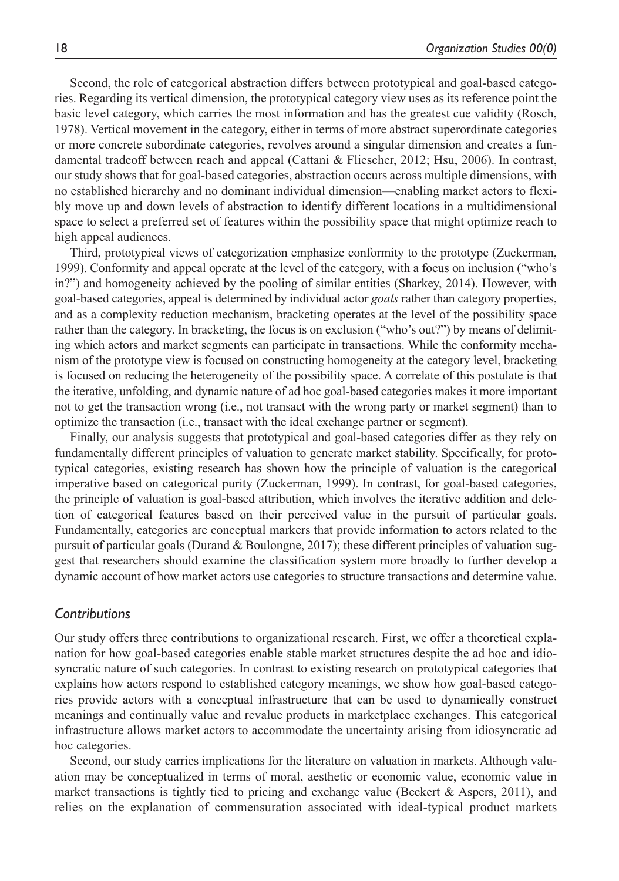Second, the role of categorical abstraction differs between prototypical and goal-based categories. Regarding its vertical dimension, the prototypical category view uses as its reference point the basic level category, which carries the most information and has the greatest cue validity (Rosch, 1978). Vertical movement in the category, either in terms of more abstract superordinate categories or more concrete subordinate categories, revolves around a singular dimension and creates a fundamental tradeoff between reach and appeal (Cattani & Fliescher, 2012; Hsu, 2006). In contrast, our study shows that for goal-based categories, abstraction occurs across multiple dimensions, with no established hierarchy and no dominant individual dimension—enabling market actors to flexibly move up and down levels of abstraction to identify different locations in a multidimensional space to select a preferred set of features within the possibility space that might optimize reach to high appeal audiences.

Third, prototypical views of categorization emphasize conformity to the prototype (Zuckerman, 1999). Conformity and appeal operate at the level of the category, with a focus on inclusion ("who's in?") and homogeneity achieved by the pooling of similar entities (Sharkey, 2014). However, with goal-based categories, appeal is determined by individual actor *goals* rather than category properties, and as a complexity reduction mechanism, bracketing operates at the level of the possibility space rather than the category. In bracketing, the focus is on exclusion ("who's out?") by means of delimiting which actors and market segments can participate in transactions. While the conformity mechanism of the prototype view is focused on constructing homogeneity at the category level, bracketing is focused on reducing the heterogeneity of the possibility space. A correlate of this postulate is that the iterative, unfolding, and dynamic nature of ad hoc goal-based categories makes it more important not to get the transaction wrong (i.e., not transact with the wrong party or market segment) than to optimize the transaction (i.e., transact with the ideal exchange partner or segment).

Finally, our analysis suggests that prototypical and goal-based categories differ as they rely on fundamentally different principles of valuation to generate market stability. Specifically, for prototypical categories, existing research has shown how the principle of valuation is the categorical imperative based on categorical purity (Zuckerman, 1999). In contrast, for goal-based categories, the principle of valuation is goal-based attribution, which involves the iterative addition and deletion of categorical features based on their perceived value in the pursuit of particular goals. Fundamentally, categories are conceptual markers that provide information to actors related to the pursuit of particular goals (Durand & Boulongne, 2017); these different principles of valuation suggest that researchers should examine the classification system more broadly to further develop a dynamic account of how market actors use categories to structure transactions and determine value.

### *Contributions*

Our study offers three contributions to organizational research. First, we offer a theoretical explanation for how goal-based categories enable stable market structures despite the ad hoc and idiosyncratic nature of such categories. In contrast to existing research on prototypical categories that explains how actors respond to established category meanings, we show how goal-based categories provide actors with a conceptual infrastructure that can be used to dynamically construct meanings and continually value and revalue products in marketplace exchanges. This categorical infrastructure allows market actors to accommodate the uncertainty arising from idiosyncratic ad hoc categories.

Second, our study carries implications for the literature on valuation in markets. Although valuation may be conceptualized in terms of moral, aesthetic or economic value, economic value in market transactions is tightly tied to pricing and exchange value (Beckert  $\&$  Aspers, 2011), and relies on the explanation of commensuration associated with ideal-typical product markets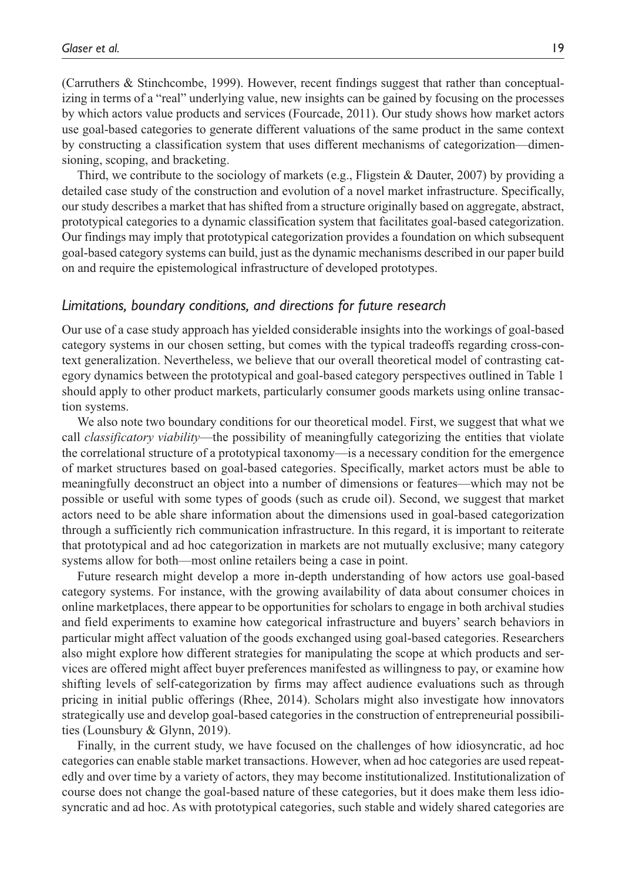(Carruthers & Stinchcombe, 1999). However, recent findings suggest that rather than conceptualizing in terms of a "real" underlying value, new insights can be gained by focusing on the processes by which actors value products and services (Fourcade, 2011). Our study shows how market actors use goal-based categories to generate different valuations of the same product in the same context by constructing a classification system that uses different mechanisms of categorization—dimensioning, scoping, and bracketing.

Third, we contribute to the sociology of markets (e.g., Fligstein & Dauter, 2007) by providing a detailed case study of the construction and evolution of a novel market infrastructure. Specifically, our study describes a market that has shifted from a structure originally based on aggregate, abstract, prototypical categories to a dynamic classification system that facilitates goal-based categorization. Our findings may imply that prototypical categorization provides a foundation on which subsequent goal-based category systems can build, just as the dynamic mechanisms described in our paper build on and require the epistemological infrastructure of developed prototypes.

### *Limitations, boundary conditions, and directions for future research*

Our use of a case study approach has yielded considerable insights into the workings of goal-based category systems in our chosen setting, but comes with the typical tradeoffs regarding cross-context generalization. Nevertheless, we believe that our overall theoretical model of contrasting category dynamics between the prototypical and goal-based category perspectives outlined in Table 1 should apply to other product markets, particularly consumer goods markets using online transaction systems.

We also note two boundary conditions for our theoretical model. First, we suggest that what we call *classificatory viability*—the possibility of meaningfully categorizing the entities that violate the correlational structure of a prototypical taxonomy—is a necessary condition for the emergence of market structures based on goal-based categories. Specifically, market actors must be able to meaningfully deconstruct an object into a number of dimensions or features—which may not be possible or useful with some types of goods (such as crude oil). Second, we suggest that market actors need to be able share information about the dimensions used in goal-based categorization through a sufficiently rich communication infrastructure. In this regard, it is important to reiterate that prototypical and ad hoc categorization in markets are not mutually exclusive; many category systems allow for both—most online retailers being a case in point.

Future research might develop a more in-depth understanding of how actors use goal-based category systems. For instance, with the growing availability of data about consumer choices in online marketplaces, there appear to be opportunities for scholars to engage in both archival studies and field experiments to examine how categorical infrastructure and buyers' search behaviors in particular might affect valuation of the goods exchanged using goal-based categories. Researchers also might explore how different strategies for manipulating the scope at which products and services are offered might affect buyer preferences manifested as willingness to pay, or examine how shifting levels of self-categorization by firms may affect audience evaluations such as through pricing in initial public offerings (Rhee, 2014). Scholars might also investigate how innovators strategically use and develop goal-based categories in the construction of entrepreneurial possibilities (Lounsbury & Glynn, 2019).

Finally, in the current study, we have focused on the challenges of how idiosyncratic, ad hoc categories can enable stable market transactions. However, when ad hoc categories are used repeatedly and over time by a variety of actors, they may become institutionalized. Institutionalization of course does not change the goal-based nature of these categories, but it does make them less idiosyncratic and ad hoc. As with prototypical categories, such stable and widely shared categories are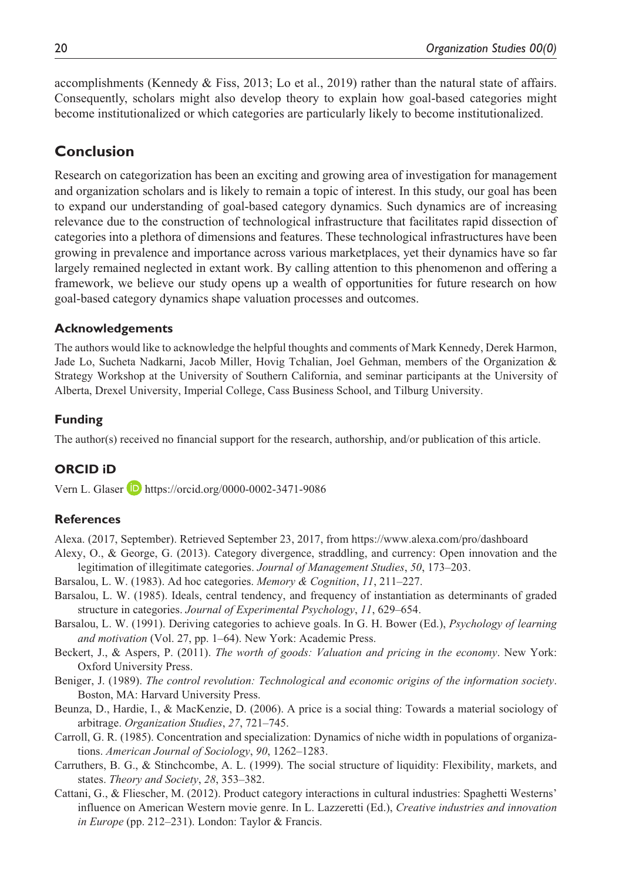accomplishments (Kennedy & Fiss, 2013; Lo et al., 2019) rather than the natural state of affairs. Consequently, scholars might also develop theory to explain how goal-based categories might become institutionalized or which categories are particularly likely to become institutionalized.

### **Conclusion**

Research on categorization has been an exciting and growing area of investigation for management and organization scholars and is likely to remain a topic of interest. In this study, our goal has been to expand our understanding of goal-based category dynamics. Such dynamics are of increasing relevance due to the construction of technological infrastructure that facilitates rapid dissection of categories into a plethora of dimensions and features. These technological infrastructures have been growing in prevalence and importance across various marketplaces, yet their dynamics have so far largely remained neglected in extant work. By calling attention to this phenomenon and offering a framework, we believe our study opens up a wealth of opportunities for future research on how goal-based category dynamics shape valuation processes and outcomes.

#### **Acknowledgements**

The authors would like to acknowledge the helpful thoughts and comments of Mark Kennedy, Derek Harmon, Jade Lo, Sucheta Nadkarni, Jacob Miller, Hovig Tchalian, Joel Gehman, members of the Organization & Strategy Workshop at the University of Southern California, and seminar participants at the University of Alberta, Drexel University, Imperial College, Cass Business School, and Tilburg University.

#### **Funding**

The author(s) received no financial support for the research, authorship, and/or publication of this article.

#### **ORCID iD**

Vern L. Glaser **D** <https://orcid.org/0000-0002-3471-9086>

#### **References**

Alexa. (2017, September). Retrieved September 23, 2017, from <https://www.alexa.com/pro/dashboard>

- Alexy, O., & George, G. (2013). Category divergence, straddling, and currency: Open innovation and the legitimation of illegitimate categories. *Journal of Management Studies*, *50*, 173–203.
- Barsalou, L. W. (1983). Ad hoc categories. *Memory & Cognition*, *11*, 211–227.
- Barsalou, L. W. (1985). Ideals, central tendency, and frequency of instantiation as determinants of graded structure in categories. *Journal of Experimental Psychology*, *11*, 629–654.
- Barsalou, L. W. (1991). Deriving categories to achieve goals. In G. H. Bower (Ed.), *Psychology of learning and motivation* (Vol. 27, pp. 1–64). New York: Academic Press.
- Beckert, J., & Aspers, P. (2011). *The worth of goods: Valuation and pricing in the economy*. New York: Oxford University Press.
- Beniger, J. (1989). *The control revolution: Technological and economic origins of the information society*. Boston, MA: Harvard University Press.
- Beunza, D., Hardie, I., & MacKenzie, D. (2006). A price is a social thing: Towards a material sociology of arbitrage. *Organization Studies*, *27*, 721–745.
- Carroll, G. R. (1985). Concentration and specialization: Dynamics of niche width in populations of organizations. *American Journal of Sociology*, *90*, 1262–1283.
- Carruthers, B. G., & Stinchcombe, A. L. (1999). The social structure of liquidity: Flexibility, markets, and states. *Theory and Society*, *28*, 353–382.
- Cattani, G., & Fliescher, M. (2012). Product category interactions in cultural industries: Spaghetti Westerns' influence on American Western movie genre. In L. Lazzeretti (Ed.), *Creative industries and innovation in Europe* (pp. 212–231). London: Taylor & Francis.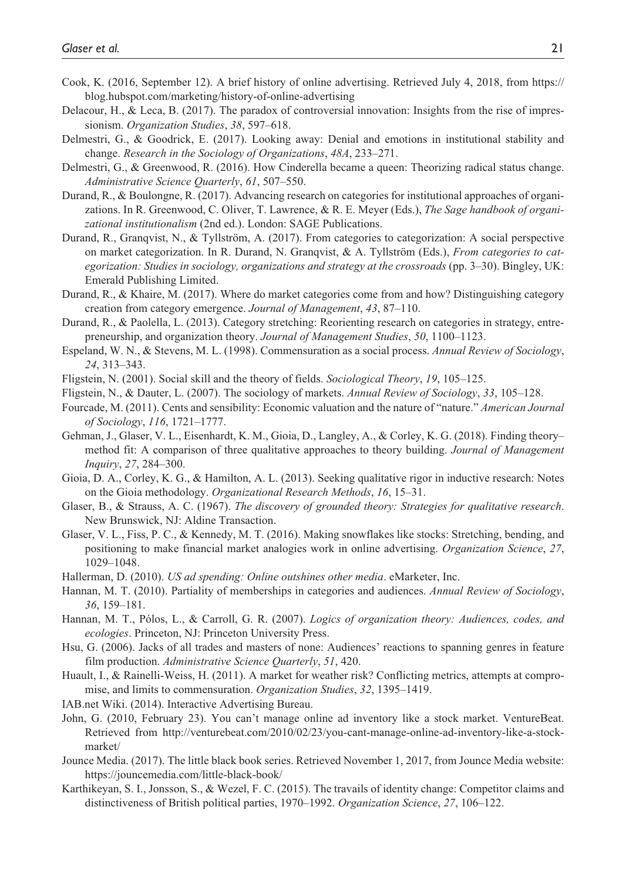- Cook, K. (2016, September 12). A brief history of online advertising. Retrieved July 4, 2018, from [https://](https://blog.hubspot.com/marketing/history-of-online-advertising) [blog.hubspot.com/marketing/history-of-online-advertising](https://blog.hubspot.com/marketing/history-of-online-advertising)
- Delacour, H., & Leca, B. (2017). The paradox of controversial innovation: Insights from the rise of impressionism. *Organization Studies*, *38*, 597–618.
- Delmestri, G., & Goodrick, E. (2017). Looking away: Denial and emotions in institutional stability and change. *Research in the Sociology of Organizations*, *48A*, 233–271.
- Delmestri, G., & Greenwood, R. (2016). How Cinderella became a queen: Theorizing radical status change. *Administrative Science Quarterly*, *61*, 507–550.
- Durand, R., & Boulongne, R. (2017). Advancing research on categories for institutional approaches of organizations. In R. Greenwood, C. Oliver, T. Lawrence, & R. E. Meyer (Eds.), *The Sage handbook of organizational institutionalism* (2nd ed.). London: SAGE Publications.
- Durand, R., Granqvist, N., & Tyllström, A. (2017). From categories to categorization: A social perspective on market categorization. In R. Durand, N. Granqvist, & A. Tyllström (Eds.), *From categories to categorization: Studies in sociology, organizations and strategy at the crossroads* (pp. 3–30). Bingley, UK: Emerald Publishing Limited.
- Durand, R., & Khaire, M. (2017). Where do market categories come from and how? Distinguishing category creation from category emergence. *Journal of Management*, *43*, 87–110.
- Durand, R., & Paolella, L. (2013). Category stretching: Reorienting research on categories in strategy, entrepreneurship, and organization theory. *Journal of Management Studies*, *50*, 1100–1123.
- Espeland, W. N., & Stevens, M. L. (1998). Commensuration as a social process. *Annual Review of Sociology*, *24*, 313–343.
- Fligstein, N. (2001). Social skill and the theory of fields. *Sociological Theory*, *19*, 105–125.
- Fligstein, N., & Dauter, L. (2007). The sociology of markets. *Annual Review of Sociology*, *33*, 105–128.
- Fourcade, M. (2011). Cents and sensibility: Economic valuation and the nature of "nature." *American Journal of Sociology*, *116*, 1721–1777.
- Gehman, J., Glaser, V. L., Eisenhardt, K. M., Gioia, D., Langley, A., & Corley, K. G. (2018). Finding theory– method fit: A comparison of three qualitative approaches to theory building. *Journal of Management Inquiry*, *27*, 284–300.
- Gioia, D. A., Corley, K. G., & Hamilton, A. L. (2013). Seeking qualitative rigor in inductive research: Notes on the Gioia methodology. *Organizational Research Methods*, *16*, 15–31.
- Glaser, B., & Strauss, A. C. (1967). *The discovery of grounded theory: Strategies for qualitative research*. New Brunswick, NJ: Aldine Transaction.
- Glaser, V. L., Fiss, P. C., & Kennedy, M. T. (2016). Making snowflakes like stocks: Stretching, bending, and positioning to make financial market analogies work in online advertising. *Organization Science*, *27*, 1029–1048.
- Hallerman, D. (2010). *US ad spending: Online outshines other media*. eMarketer, Inc.
- Hannan, M. T. (2010). Partiality of memberships in categories and audiences. *Annual Review of Sociology*, *36*, 159–181.
- Hannan, M. T., Pólos, L., & Carroll, G. R. (2007). *Logics of organization theory: Audiences, codes, and ecologies*. Princeton, NJ: Princeton University Press.
- Hsu, G. (2006). Jacks of all trades and masters of none: Audiences' reactions to spanning genres in feature film production. *Administrative Science Quarterly*, *51*, 420.
- Huault, I., & Rainelli-Weiss, H. (2011). A market for weather risk? Conflicting metrics, attempts at compromise, and limits to commensuration. *Organization Studies*, *32*, 1395–1419.
- IAB.net Wiki. (2014). Interactive Advertising Bureau.
- John, G. (2010, February 23). You can't manage online ad inventory like a stock market. VentureBeat. Retrieved from [http://venturebeat.com/2010/02/23/you-cant-manage-online-ad-inventory-like-a-stock](http://venturebeat.com/2010/02/23/you-cant-manage-online-ad-inventory-like-a-stock-market/)[market/](http://venturebeat.com/2010/02/23/you-cant-manage-online-ad-inventory-like-a-stock-market/)
- Jounce Media. (2017). The little black book series. Retrieved November 1, 2017, from Jounce Media website: <https://jouncemedia.com/little-black-book/>
- Karthikeyan, S. I., Jonsson, S., & Wezel, F. C. (2015). The travails of identity change: Competitor claims and distinctiveness of British political parties, 1970–1992. *Organization Science*, *27*, 106–122.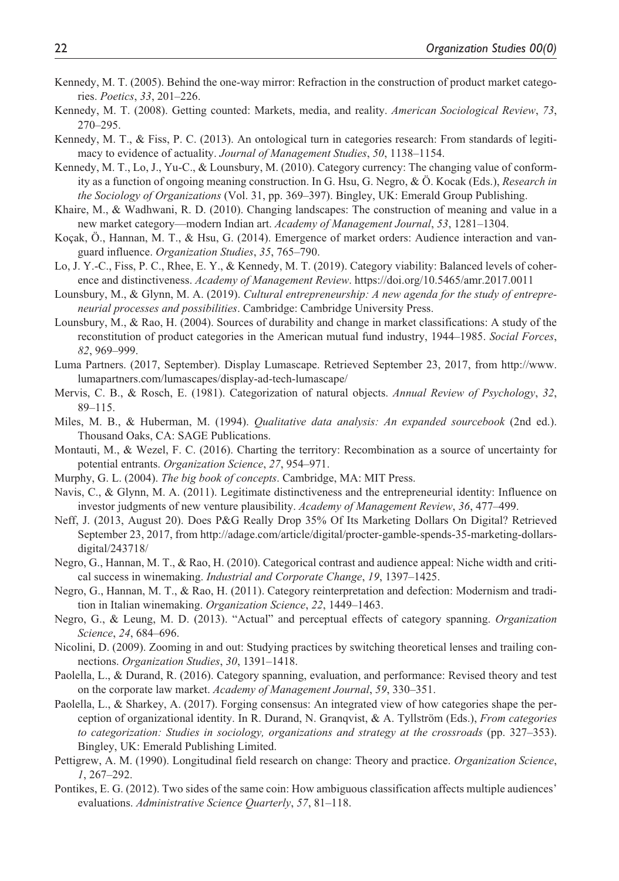- Kennedy, M. T. (2005). Behind the one-way mirror: Refraction in the construction of product market categories. *Poetics*, *33*, 201–226.
- Kennedy, M. T. (2008). Getting counted: Markets, media, and reality. *American Sociological Review*, *73*, 270–295.
- Kennedy, M. T., & Fiss, P. C. (2013). An ontological turn in categories research: From standards of legitimacy to evidence of actuality. *Journal of Management Studies*, *50*, 1138–1154.
- Kennedy, M. T., Lo, J., Yu-C., & Lounsbury, M. (2010). Category currency: The changing value of conformity as a function of ongoing meaning construction. In G. Hsu, G. Negro, & Ö. Kocak (Eds.), *Research in the Sociology of Organizations* (Vol. 31, pp. 369–397). Bingley, UK: Emerald Group Publishing.
- Khaire, M., & Wadhwani, R. D. (2010). Changing landscapes: The construction of meaning and value in a new market category—modern Indian art. *Academy of Management Journal*, *53*, 1281–1304.
- Koçak, Ö., Hannan, M. T., & Hsu, G. (2014). Emergence of market orders: Audience interaction and vanguard influence. *Organization Studies*, *35*, 765–790.
- Lo, J. Y.-C., Fiss, P. C., Rhee, E. Y., & Kennedy, M. T. (2019). Category viability: Balanced levels of coherence and distinctiveness. *Academy of Management Review*.<https://doi.org/10.5465/amr.2017.0011>
- Lounsbury, M., & Glynn, M. A. (2019). *Cultural entrepreneurship: A new agenda for the study of entrepreneurial processes and possibilities*. Cambridge: Cambridge University Press.
- Lounsbury, M., & Rao, H. (2004). Sources of durability and change in market classifications: A study of the reconstitution of product categories in the American mutual fund industry, 1944–1985. *Social Forces*, *82*, 969–999.
- Luma Partners. (2017, September). Display Lumascape. Retrieved September 23, 2017, from [http://www.](http://www.lumapartners.com/lumascapes/display-ad-tech-lumascape/) [lumapartners.com/lumascapes/display-ad-tech-lumascape/](http://www.lumapartners.com/lumascapes/display-ad-tech-lumascape/)
- Mervis, C. B., & Rosch, E. (1981). Categorization of natural objects. *Annual Review of Psychology*, *32*, 89–115.
- Miles, M. B., & Huberman, M. (1994). *Qualitative data analysis: An expanded sourcebook* (2nd ed.). Thousand Oaks, CA: SAGE Publications.
- Montauti, M., & Wezel, F. C. (2016). Charting the territory: Recombination as a source of uncertainty for potential entrants. *Organization Science*, *27*, 954–971.
- Murphy, G. L. (2004). *The big book of concepts*. Cambridge, MA: MIT Press.
- Navis, C., & Glynn, M. A. (2011). Legitimate distinctiveness and the entrepreneurial identity: Influence on investor judgments of new venture plausibility. *Academy of Management Review*, *36*, 477–499.
- Neff, J. (2013, August 20). Does P&G Really Drop 35% Of Its Marketing Dollars On Digital? Retrieved September 23, 2017, from [http://adage.com/article/digital/procter-gamble-spends-35-marketing-dollars](http://adage.com/article/digital/procter-gamble-spends-35-marketing-dollars-digital/243718/)[digital/243718/](http://adage.com/article/digital/procter-gamble-spends-35-marketing-dollars-digital/243718/)
- Negro, G., Hannan, M. T., & Rao, H. (2010). Categorical contrast and audience appeal: Niche width and critical success in winemaking. *Industrial and Corporate Change*, *19*, 1397–1425.
- Negro, G., Hannan, M. T., & Rao, H. (2011). Category reinterpretation and defection: Modernism and tradition in Italian winemaking. *Organization Science*, *22*, 1449–1463.
- Negro, G., & Leung, M. D. (2013). "Actual" and perceptual effects of category spanning. *Organization Science*, *24*, 684–696.
- Nicolini, D. (2009). Zooming in and out: Studying practices by switching theoretical lenses and trailing connections. *Organization Studies*, *30*, 1391–1418.
- Paolella, L., & Durand, R. (2016). Category spanning, evaluation, and performance: Revised theory and test on the corporate law market. *Academy of Management Journal*, *59*, 330–351.
- Paolella, L., & Sharkey, A. (2017). Forging consensus: An integrated view of how categories shape the perception of organizational identity. In R. Durand, N. Granqvist, & A. Tyllström (Eds.), *From categories to categorization: Studies in sociology, organizations and strategy at the crossroads* (pp. 327–353). Bingley, UK: Emerald Publishing Limited.
- Pettigrew, A. M. (1990). Longitudinal field research on change: Theory and practice. *Organization Science*, *1*, 267–292.
- Pontikes, E. G. (2012). Two sides of the same coin: How ambiguous classification affects multiple audiences' evaluations. *Administrative Science Quarterly*, *57*, 81–118.